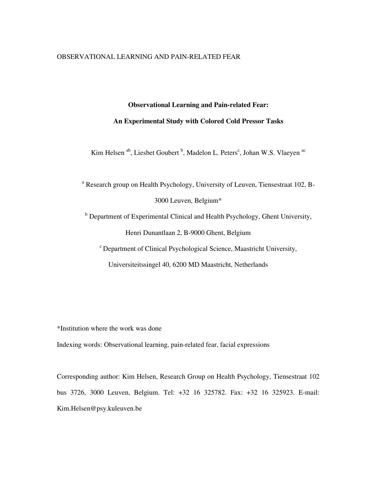#### OBSERVATIONAL LEARNING AND PAIN-RELATED FEAR

# **Observational Learning and Pain-related Fear:**

# **An Experimental Study with Colored Cold Pressor Tasks**

Kim Helsen <sup>ab</sup>, Liesbet Goubert <sup>b</sup>, Madelon L. Peters<sup>c</sup>, Johan W.S. Vlaeyen <sup>ac</sup>

<sup>a</sup> Research group on Health Psychology, University of Leuven, Tiensestraat 102, B-3000 Leuven, Belgium\*

<sup>b</sup> Department of Experimental Clinical and Health Psychology, Ghent University, Henri Dunantlaan 2, B-9000 Ghent, Belgium

 $\epsilon$  Department of Clinical Psychological Science, Maastricht University,

Universiteitssingel 40, 6200 MD Maastricht, Netherlands

\*Institution where the work was done

Indexing words: Observational learning, pain-related fear, facial expressions

Corresponding author: Kim Helsen, Research Group on Health Psychology, Tiensestraat 102 bus 3726, 3000 Leuven, Belgium. Tel: +32 16 325782. Fax: +32 16 325923. E-mail: Kim.Helsen@psy.kuleuven.be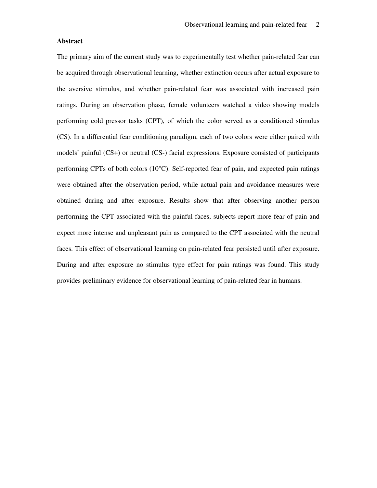# **Abstract**

The primary aim of the current study was to experimentally test whether pain-related fear can be acquired through observational learning, whether extinction occurs after actual exposure to the aversive stimulus, and whether pain-related fear was associated with increased pain ratings. During an observation phase, female volunteers watched a video showing models performing cold pressor tasks (CPT), of which the color served as a conditioned stimulus (CS). In a differential fear conditioning paradigm, each of two colors were either paired with models' painful (CS+) or neutral (CS-) facial expressions. Exposure consisted of participants performing CPTs of both colors (10°C). Self-reported fear of pain, and expected pain ratings were obtained after the observation period, while actual pain and avoidance measures were obtained during and after exposure. Results show that after observing another person performing the CPT associated with the painful faces, subjects report more fear of pain and expect more intense and unpleasant pain as compared to the CPT associated with the neutral faces. This effect of observational learning on pain-related fear persisted until after exposure. During and after exposure no stimulus type effect for pain ratings was found. This study provides preliminary evidence for observational learning of pain-related fear in humans.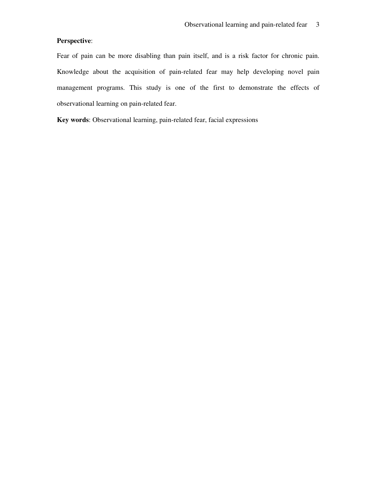# **Perspective**:

Fear of pain can be more disabling than pain itself, and is a risk factor for chronic pain. Knowledge about the acquisition of pain-related fear may help developing novel pain management programs. This study is one of the first to demonstrate the effects of observational learning on pain-related fear.

**Key words**: Observational learning, pain-related fear, facial expressions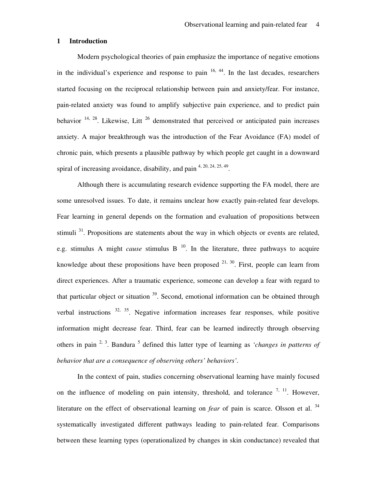### **1 Introduction**

Modern psychological theories of pain emphasize the importance of negative emotions in the individual's experience and response to pain  $16, 44$ . In the last decades, researchers started focusing on the reciprocal relationship between pain and anxiety/fear. For instance, pain-related anxiety was found to amplify subjective pain experience, and to predict pain behavior  $14, 28$ . Likewise, Litt  $26$  demonstrated that perceived or anticipated pain increases anxiety. A major breakthrough was the introduction of the Fear Avoidance (FA) model of chronic pain, which presents a plausible pathway by which people get caught in a downward spiral of increasing avoidance, disability, and pain  $4, 20, 24, 25, 49$ .

Although there is accumulating research evidence supporting the FA model, there are some unresolved issues. To date, it remains unclear how exactly pain-related fear develops. Fear learning in general depends on the formation and evaluation of propositions between stimuli  $31$ . Propositions are statements about the way in which objects or events are related, e.g. stimulus A might *cause* stimulus  $B<sup>10</sup>$ . In the literature, three pathways to acquire knowledge about these propositions have been proposed  $21, 30$ . First, people can learn from direct experiences. After a traumatic experience, someone can develop a fear with regard to that particular object or situation <sup>39</sup>. Second, emotional information can be obtained through verbal instructions  $32, 35$ . Negative information increases fear responses, while positive information might decrease fear. Third, fear can be learned indirectly through observing others in pain <sup>2, 3</sup>. Bandura <sup>5</sup> defined this latter type of learning as *'changes in patterns of behavior that are a consequence of observing others' behaviors'*.

In the context of pain, studies concerning observational learning have mainly focused on the influence of modeling on pain intensity, threshold, and tolerance  $7, 11$ . However, literature on the effect of observational learning on *fear* of pain is scarce. Olsson et al. <sup>34</sup> systematically investigated different pathways leading to pain-related fear. Comparisons between these learning types (operationalized by changes in skin conductance) revealed that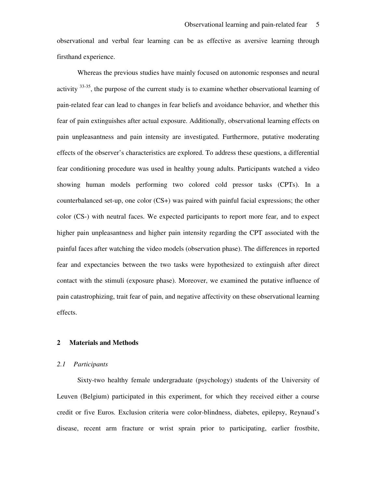observational and verbal fear learning can be as effective as aversive learning through firsthand experience.

Whereas the previous studies have mainly focused on autonomic responses and neural activity  $33-35$ , the purpose of the current study is to examine whether observational learning of pain-related fear can lead to changes in fear beliefs and avoidance behavior, and whether this fear of pain extinguishes after actual exposure. Additionally, observational learning effects on pain unpleasantness and pain intensity are investigated. Furthermore, putative moderating effects of the observer's characteristics are explored. To address these questions, a differential fear conditioning procedure was used in healthy young adults. Participants watched a video showing human models performing two colored cold pressor tasks (CPTs). In a counterbalanced set-up, one color (CS+) was paired with painful facial expressions; the other color (CS-) with neutral faces. We expected participants to report more fear, and to expect higher pain unpleasantness and higher pain intensity regarding the CPT associated with the painful faces after watching the video models (observation phase). The differences in reported fear and expectancies between the two tasks were hypothesized to extinguish after direct contact with the stimuli (exposure phase). Moreover, we examined the putative influence of pain catastrophizing, trait fear of pain, and negative affectivity on these observational learning effects.

# **2 Materials and Methods**

#### *2.1 Participants*

Sixty-two healthy female undergraduate (psychology) students of the University of Leuven (Belgium) participated in this experiment, for which they received either a course credit or five Euros. Exclusion criteria were color-blindness, diabetes, epilepsy, Reynaud's disease, recent arm fracture or wrist sprain prior to participating, earlier frostbite,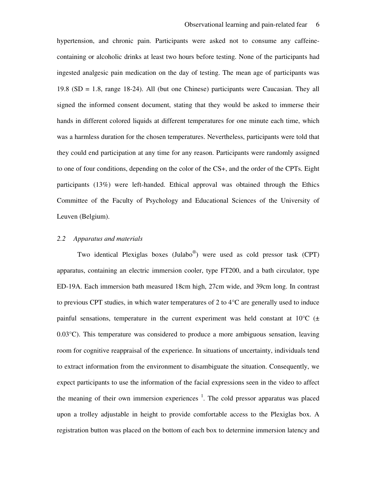hypertension, and chronic pain. Participants were asked not to consume any caffeinecontaining or alcoholic drinks at least two hours before testing. None of the participants had ingested analgesic pain medication on the day of testing. The mean age of participants was 19.8 (SD = 1.8, range 18-24). All (but one Chinese) participants were Caucasian. They all signed the informed consent document, stating that they would be asked to immerse their hands in different colored liquids at different temperatures for one minute each time, which was a harmless duration for the chosen temperatures. Nevertheless, participants were told that they could end participation at any time for any reason. Participants were randomly assigned to one of four conditions, depending on the color of the CS+, and the order of the CPTs. Eight participants (13%) were left-handed. Ethical approval was obtained through the Ethics Committee of the Faculty of Psychology and Educational Sciences of the University of Leuven (Belgium).

#### *2.2 Apparatus and materials*

Two identical Plexiglas boxes (Julabo® ) were used as cold pressor task (CPT) apparatus, containing an electric immersion cooler, type FT200, and a bath circulator, type ED-19A. Each immersion bath measured 18cm high, 27cm wide, and 39cm long. In contrast to previous CPT studies, in which water temperatures of 2 to 4°C are generally used to induce painful sensations, temperature in the current experiment was held constant at  $10^{\circ}$ C ( $\pm$ 0.03°C). This temperature was considered to produce a more ambiguous sensation, leaving room for cognitive reappraisal of the experience. In situations of uncertainty, individuals tend to extract information from the environment to disambiguate the situation. Consequently, we expect participants to use the information of the facial expressions seen in the video to affect the meaning of their own immersion experiences  $1$ . The cold pressor apparatus was placed upon a trolley adjustable in height to provide comfortable access to the Plexiglas box. A registration button was placed on the bottom of each box to determine immersion latency and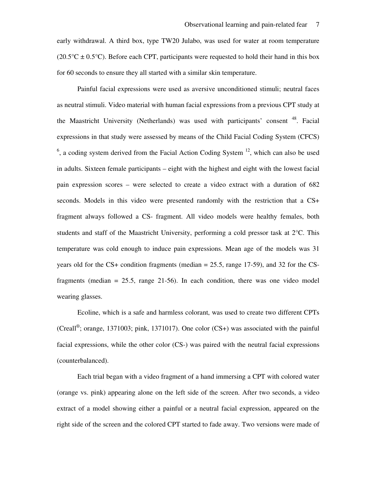early withdrawal. A third box, type TW20 Julabo, was used for water at room temperature  $(20.5^{\circ}C \pm 0.5^{\circ}C)$ . Before each CPT, participants were requested to hold their hand in this box for 60 seconds to ensure they all started with a similar skin temperature.

Painful facial expressions were used as aversive unconditioned stimuli; neutral faces as neutral stimuli. Video material with human facial expressions from a previous CPT study at the Maastricht University (Netherlands) was used with participants' consent <sup>48</sup>. Facial expressions in that study were assessed by means of the Child Facial Coding System (CFCS)  $<sup>6</sup>$ , a coding system derived from the Facial Action Coding System  $<sup>12</sup>$ , which can also be used</sup></sup> in adults. Sixteen female participants – eight with the highest and eight with the lowest facial pain expression scores – were selected to create a video extract with a duration of 682 seconds. Models in this video were presented randomly with the restriction that a CS+ fragment always followed a CS- fragment. All video models were healthy females, both students and staff of the Maastricht University, performing a cold pressor task at 2°C. This temperature was cold enough to induce pain expressions. Mean age of the models was 31 years old for the CS+ condition fragments (median = 25.5, range 17-59), and 32 for the CSfragments (median  $= 25.5$ , range 21-56). In each condition, there was one video model wearing glasses.

Ecoline, which is a safe and harmless colorant, was used to create two different CPTs (Creall® ; orange, 1371003; pink, 1371017). One color (CS+) was associated with the painful facial expressions, while the other color (CS-) was paired with the neutral facial expressions (counterbalanced).

Each trial began with a video fragment of a hand immersing a CPT with colored water (orange vs. pink) appearing alone on the left side of the screen. After two seconds, a video extract of a model showing either a painful or a neutral facial expression, appeared on the right side of the screen and the colored CPT started to fade away. Two versions were made of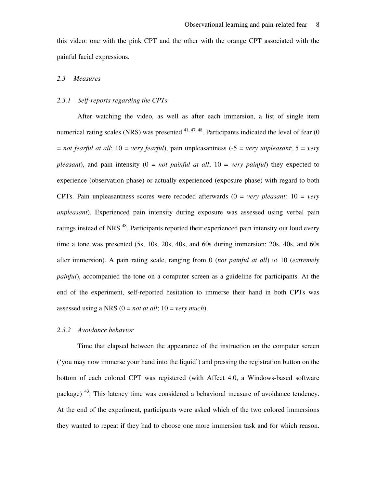this video: one with the pink CPT and the other with the orange CPT associated with the painful facial expressions.

## *2.3 Measures*

#### *2.3.1 Self-reports regarding the CPTs*

After watching the video, as well as after each immersion, a list of single item numerical rating scales (NRS) was presented  $41, 47, 48$ . Participants indicated the level of fear (0)  $=$  *not fearful at all*;  $10 =$  *very fearful*), pain unpleasantness ( $-5 =$  *very unpleasant*;  $5 =$  *very pleasant*), and pain intensity  $(0 = not$  *painful at all*;  $10 = \text{very } painful$  they expected to experience (observation phase) or actually experienced (exposure phase) with regard to both CPTs. Pain unpleasantness scores were recoded afterwards  $(0 = \text{very} pleasant; 10 = \text{very}$ *unpleasant*). Experienced pain intensity during exposure was assessed using verbal pain ratings instead of NRS<sup>48</sup>. Participants reported their experienced pain intensity out loud every time a tone was presented (5s, 10s, 20s, 40s, and 60s during immersion; 20s, 40s, and 60s after immersion). A pain rating scale, ranging from 0 (*not painful at all*) to 10 (*extremely painful*), accompanied the tone on a computer screen as a guideline for participants. At the end of the experiment, self-reported hesitation to immerse their hand in both CPTs was assessed using a NRS (0 = *not at all*; 10 = *very much*).

#### *2.3.2 Avoidance behavior*

Time that elapsed between the appearance of the instruction on the computer screen ('you may now immerse your hand into the liquid') and pressing the registration button on the bottom of each colored CPT was registered (with Affect 4.0, a Windows-based software package) <sup>43</sup>. This latency time was considered a behavioral measure of avoidance tendency. At the end of the experiment, participants were asked which of the two colored immersions they wanted to repeat if they had to choose one more immersion task and for which reason.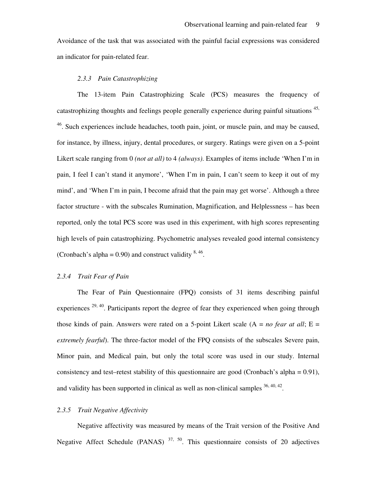Avoidance of the task that was associated with the painful facial expressions was considered an indicator for pain-related fear.

### *2.3.3 Pain Catastrophizing*

The 13-item Pain Catastrophizing Scale (PCS) measures the frequency of catastrophizing thoughts and feelings people generally experience during painful situations <sup>45,</sup> <sup>46</sup>. Such experiences include headaches, tooth pain, joint, or muscle pain, and may be caused, for instance, by illness, injury, dental procedures, or surgery. Ratings were given on a 5-point Likert scale ranging from 0 *(not at all)* to 4 *(always)*. Examples of items include 'When I'm in pain, I feel I can't stand it anymore', 'When I'm in pain, I can't seem to keep it out of my mind', and 'When I'm in pain, I become afraid that the pain may get worse'. Although a three factor structure - with the subscales Rumination, Magnification, and Helplessness – has been reported, only the total PCS score was used in this experiment, with high scores representing high levels of pain catastrophizing. Psychometric analyses revealed good internal consistency (Cronbach's alpha =  $0.90$ ) and construct validity  $8,46$ .

## *2.3.4 Trait Fear of Pain*

The Fear of Pain Questionnaire (FPQ) consists of 31 items describing painful experiences  $^{29,40}$ . Participants report the degree of fear they experienced when going through those kinds of pain. Answers were rated on a 5-point Likert scale  $(A = no \text{ fear at all}; E =$ *extremely fearful*). The three-factor model of the FPQ consists of the subscales Severe pain, Minor pain, and Medical pain, but only the total score was used in our study. Internal consistency and test–retest stability of this questionnaire are good (Cronbach's alpha = 0.91), and validity has been supported in clinical as well as non-clinical samples  $36, 40, 42$ .

# *2.3.5 Trait Negative Affectivity*

Negative affectivity was measured by means of the Trait version of the Positive And Negative Affect Schedule (PANAS)  $37, 50$ . This questionnaire consists of 20 adjectives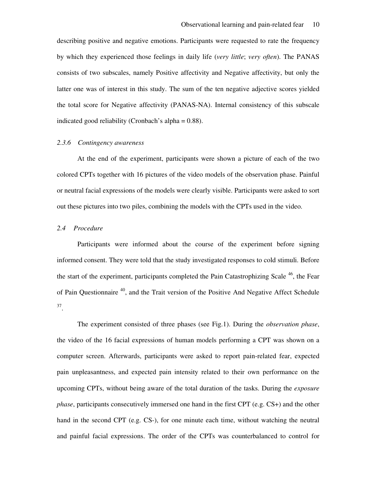describing positive and negative emotions. Participants were requested to rate the frequency by which they experienced those feelings in daily life (*very little*; *very often*). The PANAS consists of two subscales, namely Positive affectivity and Negative affectivity, but only the latter one was of interest in this study. The sum of the ten negative adjective scores yielded the total score for Negative affectivity (PANAS-NA). Internal consistency of this subscale indicated good reliability (Cronbach's alpha = 0.88).

### *2.3.6 Contingency awareness*

At the end of the experiment, participants were shown a picture of each of the two colored CPTs together with 16 pictures of the video models of the observation phase. Painful or neutral facial expressions of the models were clearly visible. Participants were asked to sort out these pictures into two piles, combining the models with the CPTs used in the video.

### *2.4 Procedure*

Participants were informed about the course of the experiment before signing informed consent. They were told that the study investigated responses to cold stimuli. Before the start of the experiment, participants completed the Pain Catastrophizing Scale <sup>46</sup>, the Fear of Pain Questionnaire <sup>40</sup>, and the Trait version of the Positive And Negative Affect Schedule 37 .

The experiment consisted of three phases (see Fig.1). During the *observation phase*, the video of the 16 facial expressions of human models performing a CPT was shown on a computer screen. Afterwards, participants were asked to report pain-related fear, expected pain unpleasantness, and expected pain intensity related to their own performance on the upcoming CPTs, without being aware of the total duration of the tasks. During the *exposure phase*, participants consecutively immersed one hand in the first CPT (e.g. CS+) and the other hand in the second CPT (e.g. CS-), for one minute each time, without watching the neutral and painful facial expressions. The order of the CPTs was counterbalanced to control for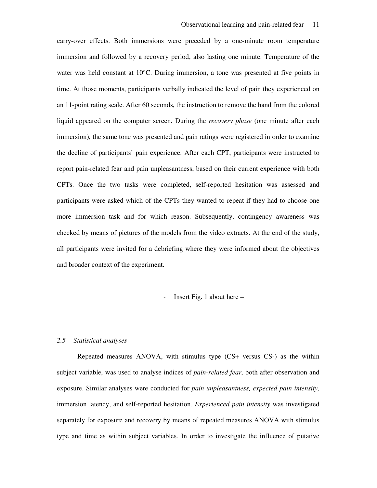carry-over effects. Both immersions were preceded by a one-minute room temperature immersion and followed by a recovery period, also lasting one minute. Temperature of the water was held constant at 10°C. During immersion, a tone was presented at five points in time. At those moments, participants verbally indicated the level of pain they experienced on an 11-point rating scale. After 60 seconds, the instruction to remove the hand from the colored liquid appeared on the computer screen. During the *recovery phase* (one minute after each immersion), the same tone was presented and pain ratings were registered in order to examine the decline of participants' pain experience. After each CPT, participants were instructed to report pain-related fear and pain unpleasantness, based on their current experience with both CPTs. Once the two tasks were completed, self-reported hesitation was assessed and participants were asked which of the CPTs they wanted to repeat if they had to choose one more immersion task and for which reason. Subsequently, contingency awareness was checked by means of pictures of the models from the video extracts. At the end of the study, all participants were invited for a debriefing where they were informed about the objectives and broader context of the experiment.

### - Insert Fig. 1 about here –

#### *2.5 Statistical analyses*

Repeated measures ANOVA, with stimulus type (CS+ versus CS-) as the within subject variable, was used to analyse indices of *pain-related fear*, both after observation and exposure. Similar analyses were conducted for *pain unpleasantness, expected pain intensity,*  immersion latency, and self-reported hesitation*. Experienced pain intensity* was investigated separately for exposure and recovery by means of repeated measures ANOVA with stimulus type and time as within subject variables. In order to investigate the influence of putative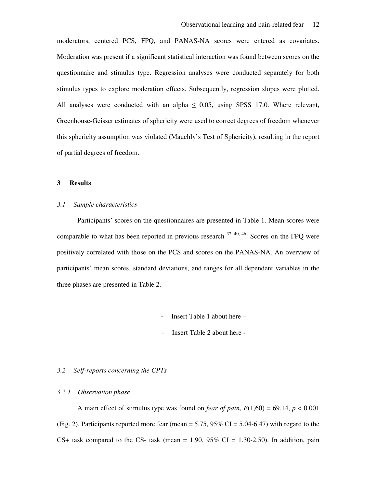moderators, centered PCS, FPQ, and PANAS-NA scores were entered as covariates. Moderation was present if a significant statistical interaction was found between scores on the questionnaire and stimulus type. Regression analyses were conducted separately for both stimulus types to explore moderation effects. Subsequently, regression slopes were plotted. All analyses were conducted with an alpha  $\leq$  0.05, using SPSS 17.0. Where relevant, Greenhouse-Geisser estimates of sphericity were used to correct degrees of freedom whenever this sphericity assumption was violated (Mauchly's Test of Sphericity), resulting in the report of partial degrees of freedom.

# **3 Results**

### *3.1 Sample characteristics*

Participants' scores on the questionnaires are presented in Table 1. Mean scores were comparable to what has been reported in previous research  $37, 40, 46$ . Scores on the FPQ were positively correlated with those on the PCS and scores on the PANAS-NA. An overview of participants' mean scores, standard deviations, and ranges for all dependent variables in the three phases are presented in Table 2.

- Insert Table 1 about here –

- Insert Table 2 about here -

## *3.2 Self-reports concerning the CPTs*

### *3.2.1 Observation phase*

A main effect of stimulus type was found on *fear of pain*,  $F(1,60) = 69.14$ ,  $p < 0.001$ (Fig. 2). Participants reported more fear (mean  $= 5.75$ ,  $95\%$  CI  $= 5.04-6.47$ ) with regard to the CS+ task compared to the CS- task (mean =  $1.90, 95\%$  CI =  $1.30$ -2.50). In addition, pain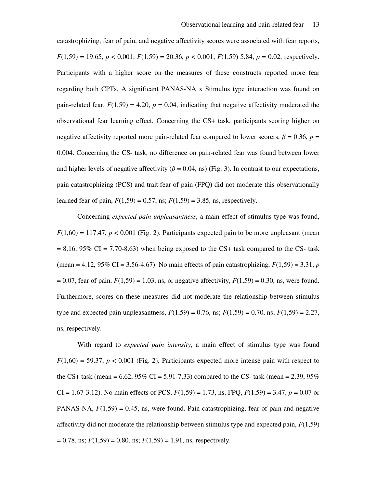catastrophizing, fear of pain, and negative affectivity scores were associated with fear reports,  $F(1,59) = 19.65, p < 0.001; F(1,59) = 20.36, p < 0.001; F(1,59) = 5.84, p = 0.02$ , respectively. Participants with a higher score on the measures of these constructs reported more fear regarding both CPTs*.* A significant PANAS-NA x Stimulus type interaction was found on pain-related fear,  $F(1,59) = 4.20$ ,  $p = 0.04$ , indicating that negative affectivity moderated the observational fear learning effect. Concerning the CS+ task, participants scoring higher on negative affectivity reported more pain-related fear compared to lower scorers,  $\beta = 0.36$ ,  $p =$ 0.004. Concerning the CS- task, no difference on pain-related fear was found between lower and higher levels of negative affectivity ( $\beta$  = 0.04, ns) (Fig. 3). In contrast to our expectations, pain catastrophizing (PCS) and trait fear of pain (FPQ) did not moderate this observationally learned fear of pain,  $F(1,59) = 0.57$ , ns;  $F(1,59) = 3.85$ , ns, respectively.

Concerning *expected pain unpleasantness*, a main effect of stimulus type was found,  $F(1,60) = 117.47$ ,  $p < 0.001$  (Fig. 2). Participants expected pain to be more unpleasant (mean  $= 8.16, 95\% \text{ CI} = 7.70 - 8.63$ ) when being exposed to the CS+ task compared to the CS- task (mean = 4.12,  $95\%$  CI = 3.56-4.67). No main effects of pain catastrophizing,  $F(1,59) = 3.31$ , *p*  $F(1,59) = 0.07$ , fear of pain,  $F(1,59) = 1.03$ , ns, or negative affectivity,  $F(1,59) = 0.30$ , ns, were found. Furthermore, scores on these measures did not moderate the relationship between stimulus type and expected pain unpleasantness,  $F(1,59) = 0.76$ , ns;  $F(1,59) = 0.70$ , ns;  $F(1,59) = 2.27$ , ns, respectively.

With regard to *expected pain intensity*, a main effect of stimulus type was found  $F(1,60) = 59.37$ ,  $p < 0.001$  (Fig. 2). Participants expected more intense pain with respect to the CS+ task (mean =  $6.62$ ,  $95\%$  CI =  $5.91-7.33$ ) compared to the CS- task (mean =  $2.39$ ,  $95\%$ CI = 1.67-3.12). No main effects of PCS, *F*(1,59) = 1.73, ns, FPQ, *F*(1,59) = 3.47, *p* = 0.07 or PANAS-NA,  $F(1,59) = 0.45$ , ns, were found. Pain catastrophizing, fear of pain and negative affectivity did not moderate the relationship between stimulus type and expected pain, *F*(1,59)  $= 0.78$ , ns;  $F(1,59) = 0.80$ , ns;  $F(1,59) = 1.91$ , ns, respectively.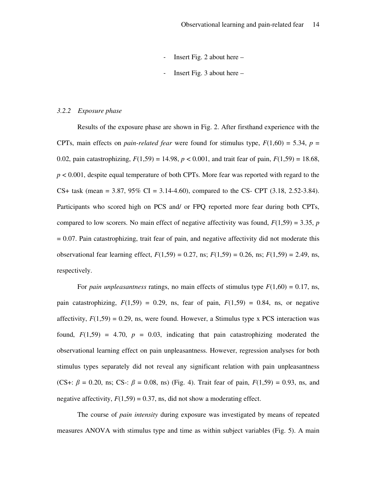- Insert Fig. 2 about here –
- Insert Fig. 3 about here  $-$

#### *3.2.2 Exposure phase*

Results of the exposure phase are shown in Fig. 2. After firsthand experience with the CPTs, main effects on *pain-related fear* were found for stimulus type,  $F(1,60) = 5.34$ ,  $p =$ 0.02, pain catastrophizing,  $F(1,59) = 14.98$ ,  $p < 0.001$ , and trait fear of pain,  $F(1,59) = 18.68$ , *p* < 0.001, despite equal temperature of both CPTs. More fear was reported with regard to the CS+ task (mean =  $3.87$ ,  $95\%$  CI =  $3.14-4.60$ ), compared to the CS- CPT  $(3.18, 2.52-3.84)$ . Participants who scored high on PCS and/ or FPQ reported more fear during both CPTs, compared to low scorers. No main effect of negative affectivity was found,  $F(1,59) = 3.35$ , *p*  $= 0.07$ . Pain catastrophizing, trait fear of pain, and negative affectivity did not moderate this observational fear learning effect, *F*(1,59) = 0.27, ns; *F*(1,59) = 0.26, ns; *F*(1,59) = 2.49, ns, respectively.

For *pain unpleasantness* ratings, no main effects of stimulus type  $F(1,60) = 0.17$ , ns, pain catastrophizing,  $F(1,59) = 0.29$ , ns, fear of pain,  $F(1,59) = 0.84$ , ns, or negative affectivity,  $F(1,59) = 0.29$ , ns, were found. However, a Stimulus type x PCS interaction was found,  $F(1,59) = 4.70$ ,  $p = 0.03$ , indicating that pain catastrophizing moderated the observational learning effect on pain unpleasantness. However, regression analyses for both stimulus types separately did not reveal any significant relation with pain unpleasantness (CS+:  $\beta = 0.20$ , ns; CS-:  $\beta = 0.08$ , ns) (Fig. 4). Trait fear of pain,  $F(1,59) = 0.93$ , ns, and negative affectivity,  $F(1,59) = 0.37$ , ns, did not show a moderating effect.

The course of *pain intensity* during exposure was investigated by means of repeated measures ANOVA with stimulus type and time as within subject variables (Fig. 5). A main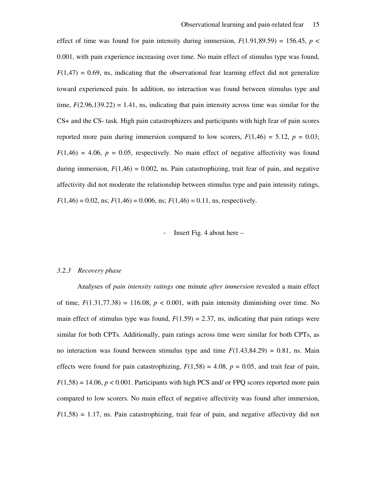effect of time was found for pain intensity during immersion,  $F(1.91,89.59) = 156.45$ ,  $p <$ 0.001, with pain experience increasing over time. No main effect of stimulus type was found,  $F(1,47) = 0.69$ , ns, indicating that the observational fear learning effect did not generalize toward experienced pain. In addition, no interaction was found between stimulus type and time,  $F(2.96, 139.22) = 1.41$ , ns, indicating that pain intensity across time was similar for the CS+ and the CS- task. High pain catastrophizers and participants with high fear of pain scores reported more pain during immersion compared to low scorers,  $F(1,46) = 5.12$ ,  $p = 0.03$ ;  $F(1,46) = 4.06$ ,  $p = 0.05$ , respectively. No main effect of negative affectivity was found during immersion,  $F(1,46) = 0.002$ , ns. Pain catastrophizing, trait fear of pain, and negative affectivity did not moderate the relationship between stimulus type and pain intensity ratings,  $F(1,46) = 0.02$ , ns;  $F(1,46) = 0.006$ , ns;  $F(1,46) = 0.11$ , ns, respectively.

#### Insert Fig. 4 about here  $-$

#### *3.2.3 Recovery phase*

Analyses of *pain intensity ratings* one minute *after immersion* revealed a main effect of time,  $F(1.31,77.38) = 116.08$ ,  $p < 0.001$ , with pain intensity diminishing over time. No main effect of stimulus type was found,  $F(1.59) = 2.37$ , ns, indicating that pain ratings were similar for both CPTs. Additionally, pain ratings across time were similar for both CPTs, as no interaction was found between stimulus type and time  $F(1.43,84.29) = 0.81$ , ns. Main effects were found for pain catastrophizing,  $F(1,58) = 4.08$ ,  $p = 0.05$ , and trait fear of pain,  $F(1,58) = 14.06$ ,  $p < 0.001$ . Participants with high PCS and/ or FPQ scores reported more pain compared to low scorers. No main effect of negative affectivity was found after immersion,  $F(1,58) = 1.17$ , ns. Pain catastrophizing, trait fear of pain, and negative affectivity did not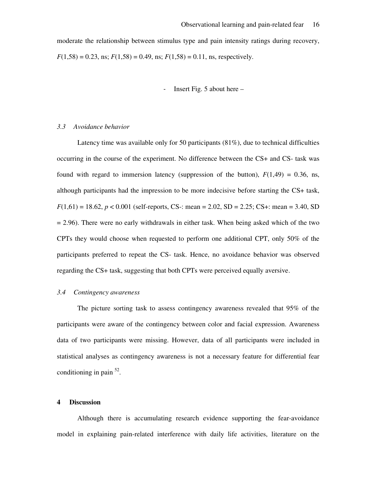moderate the relationship between stimulus type and pain intensity ratings during recovery,  $F(1,58) = 0.23$ , ns;  $F(1,58) = 0.49$ , ns;  $F(1,58) = 0.11$ , ns, respectively.

- Insert Fig. 5 about here –

#### *3.3 Avoidance behavior*

Latency time was available only for 50 participants  $(81\%)$ , due to technical difficulties occurring in the course of the experiment. No difference between the CS+ and CS- task was found with regard to immersion latency (suppression of the button),  $F(1,49) = 0.36$ , ns, although participants had the impression to be more indecisive before starting the CS+ task,  $F(1,61) = 18.62, p < 0.001$  (self-reports, CS-: mean = 2.02, SD = 2.25; CS+: mean = 3.40, SD  $= 2.96$ ). There were no early withdrawals in either task. When being asked which of the two CPTs they would choose when requested to perform one additional CPT, only 50% of the participants preferred to repeat the CS- task. Hence, no avoidance behavior was observed regarding the CS+ task, suggesting that both CPTs were perceived equally aversive.

## *3.4 Contingency awareness*

The picture sorting task to assess contingency awareness revealed that 95% of the participants were aware of the contingency between color and facial expression. Awareness data of two participants were missing. However, data of all participants were included in statistical analyses as contingency awareness is not a necessary feature for differential fear conditioning in pain <sup>52</sup>.

#### **4 Discussion**

Although there is accumulating research evidence supporting the fear-avoidance model in explaining pain-related interference with daily life activities, literature on the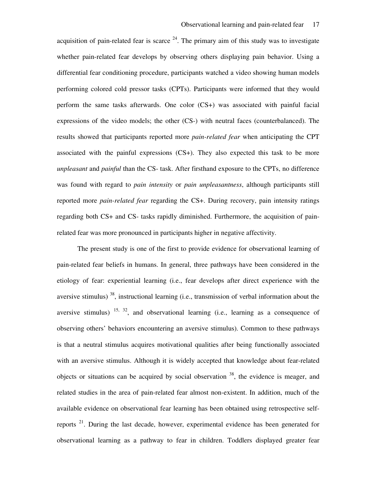acquisition of pain-related fear is scarce  $24$ . The primary aim of this study was to investigate whether pain-related fear develops by observing others displaying pain behavior. Using a differential fear conditioning procedure, participants watched a video showing human models performing colored cold pressor tasks (CPTs). Participants were informed that they would perform the same tasks afterwards. One color (CS+) was associated with painful facial expressions of the video models; the other (CS-) with neutral faces (counterbalanced). The results showed that participants reported more *pain-related fear* when anticipating the CPT associated with the painful expressions (CS+). They also expected this task to be more *unpleasant* and *painful* than the CS- task. After firsthand exposure to the CPTs, no difference was found with regard to *pain intensity* or *pain unpleasantness*, although participants still reported more *pain-related fear* regarding the CS+. During recovery, pain intensity ratings regarding both CS+ and CS- tasks rapidly diminished. Furthermore, the acquisition of painrelated fear was more pronounced in participants higher in negative affectivity.

The present study is one of the first to provide evidence for observational learning of pain-related fear beliefs in humans. In general, three pathways have been considered in the etiology of fear: experiential learning (i.e., fear develops after direct experience with the aversive stimulus) <sup>38</sup>, instructional learning (i.e., transmission of verbal information about the aversive stimulus)  $15, 32$ , and observational learning (i.e., learning as a consequence of observing others' behaviors encountering an aversive stimulus). Common to these pathways is that a neutral stimulus acquires motivational qualities after being functionally associated with an aversive stimulus. Although it is widely accepted that knowledge about fear-related objects or situations can be acquired by social observation  $38$ , the evidence is meager, and related studies in the area of pain-related fear almost non-existent. In addition, much of the available evidence on observational fear learning has been obtained using retrospective selfreports  $21$ . During the last decade, however, experimental evidence has been generated for observational learning as a pathway to fear in children. Toddlers displayed greater fear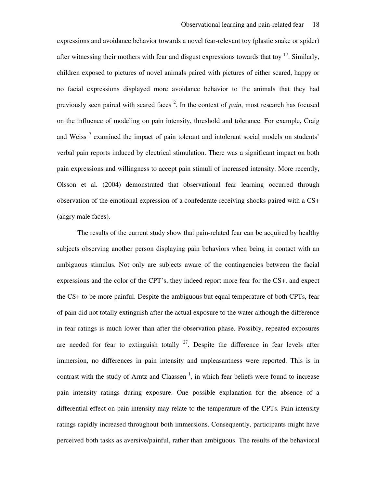expressions and avoidance behavior towards a novel fear-relevant toy (plastic snake or spider) after witnessing their mothers with fear and disgust expressions towards that toy  $17$ . Similarly, children exposed to pictures of novel animals paired with pictures of either scared, happy or no facial expressions displayed more avoidance behavior to the animals that they had previously seen paired with scared faces<sup>2</sup>. In the context of *pain*, most research has focused on the influence of modeling on pain intensity, threshold and tolerance. For example, Craig and Weiss<sup>7</sup> examined the impact of pain tolerant and intolerant social models on students' verbal pain reports induced by electrical stimulation. There was a significant impact on both pain expressions and willingness to accept pain stimuli of increased intensity. More recently, Olsson et al. (2004) demonstrated that observational fear learning occurred through observation of the emotional expression of a confederate receiving shocks paired with a CS+ (angry male faces).

The results of the current study show that pain-related fear can be acquired by healthy subjects observing another person displaying pain behaviors when being in contact with an ambiguous stimulus. Not only are subjects aware of the contingencies between the facial expressions and the color of the CPT's, they indeed report more fear for the CS+, and expect the CS+ to be more painful. Despite the ambiguous but equal temperature of both CPTs, fear of pain did not totally extinguish after the actual exposure to the water although the difference in fear ratings is much lower than after the observation phase. Possibly, repeated exposures are needed for fear to extinguish totally  $2^7$ . Despite the difference in fear levels after immersion, no differences in pain intensity and unpleasantness were reported. This is in contrast with the study of Arntz and Claassen<sup> $1$ </sup>, in which fear beliefs were found to increase pain intensity ratings during exposure. One possible explanation for the absence of a differential effect on pain intensity may relate to the temperature of the CPTs. Pain intensity ratings rapidly increased throughout both immersions. Consequently, participants might have perceived both tasks as aversive/painful, rather than ambiguous. The results of the behavioral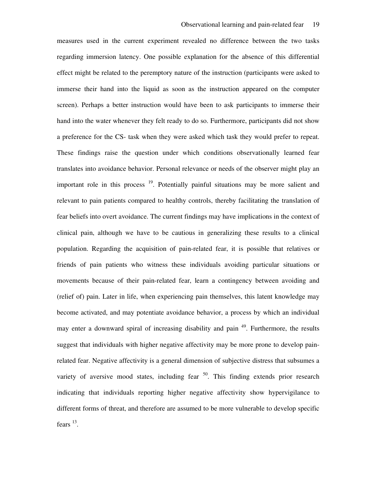measures used in the current experiment revealed no difference between the two tasks regarding immersion latency. One possible explanation for the absence of this differential effect might be related to the peremptory nature of the instruction (participants were asked to immerse their hand into the liquid as soon as the instruction appeared on the computer screen). Perhaps a better instruction would have been to ask participants to immerse their hand into the water whenever they felt ready to do so. Furthermore, participants did not show a preference for the CS- task when they were asked which task they would prefer to repeat. These findings raise the question under which conditions observationally learned fear translates into avoidance behavior. Personal relevance or needs of the observer might play an important role in this process  $19$ . Potentially painful situations may be more salient and relevant to pain patients compared to healthy controls, thereby facilitating the translation of fear beliefs into overt avoidance. The current findings may have implications in the context of clinical pain, although we have to be cautious in generalizing these results to a clinical population. Regarding the acquisition of pain-related fear, it is possible that relatives or friends of pain patients who witness these individuals avoiding particular situations or movements because of their pain-related fear, learn a contingency between avoiding and (relief of) pain. Later in life, when experiencing pain themselves, this latent knowledge may become activated, and may potentiate avoidance behavior, a process by which an individual may enter a downward spiral of increasing disability and pain <sup>49</sup>. Furthermore, the results suggest that individuals with higher negative affectivity may be more prone to develop painrelated fear. Negative affectivity is a general dimension of subjective distress that subsumes a variety of aversive mood states, including fear  $50$ . This finding extends prior research indicating that individuals reporting higher negative affectivity show hypervigilance to different forms of threat, and therefore are assumed to be more vulnerable to develop specific fears  $^{13}$ .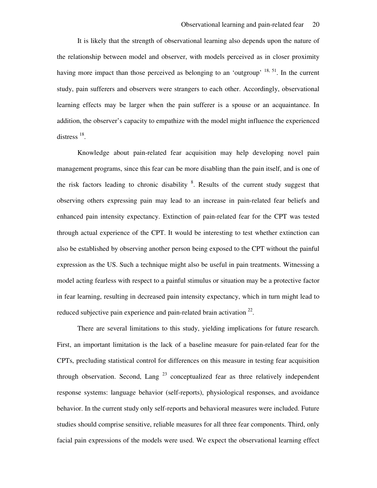It is likely that the strength of observational learning also depends upon the nature of the relationship between model and observer, with models perceived as in closer proximity having more impact than those perceived as belonging to an 'outgroup'  $^{18, 51}$ . In the current study, pain sufferers and observers were strangers to each other. Accordingly, observational learning effects may be larger when the pain sufferer is a spouse or an acquaintance. In addition, the observer's capacity to empathize with the model might influence the experienced distress  $^{18}$ .

Knowledge about pain-related fear acquisition may help developing novel pain management programs, since this fear can be more disabling than the pain itself, and is one of the risk factors leading to chronic disability  $8$ . Results of the current study suggest that observing others expressing pain may lead to an increase in pain-related fear beliefs and enhanced pain intensity expectancy. Extinction of pain-related fear for the CPT was tested through actual experience of the CPT. It would be interesting to test whether extinction can also be established by observing another person being exposed to the CPT without the painful expression as the US. Such a technique might also be useful in pain treatments. Witnessing a model acting fearless with respect to a painful stimulus or situation may be a protective factor in fear learning, resulting in decreased pain intensity expectancy, which in turn might lead to reduced subjective pain experience and pain-related brain activation  $^{22}$ .

There are several limitations to this study, yielding implications for future research. First, an important limitation is the lack of a baseline measure for pain-related fear for the CPTs, precluding statistical control for differences on this measure in testing fear acquisition through observation. Second, Lang  $^{23}$  conceptualized fear as three relatively independent response systems: language behavior (self-reports), physiological responses, and avoidance behavior. In the current study only self-reports and behavioral measures were included. Future studies should comprise sensitive, reliable measures for all three fear components. Third, only facial pain expressions of the models were used. We expect the observational learning effect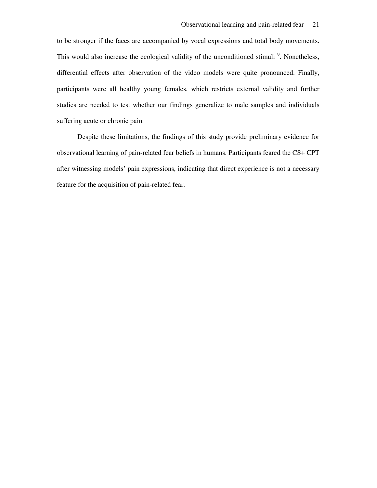to be stronger if the faces are accompanied by vocal expressions and total body movements. This would also increase the ecological validity of the unconditioned stimuli<sup>9</sup>. Nonetheless, differential effects after observation of the video models were quite pronounced. Finally, participants were all healthy young females, which restricts external validity and further studies are needed to test whether our findings generalize to male samples and individuals suffering acute or chronic pain.

Despite these limitations, the findings of this study provide preliminary evidence for observational learning of pain-related fear beliefs in humans. Participants feared the CS+ CPT after witnessing models' pain expressions, indicating that direct experience is not a necessary feature for the acquisition of pain-related fear.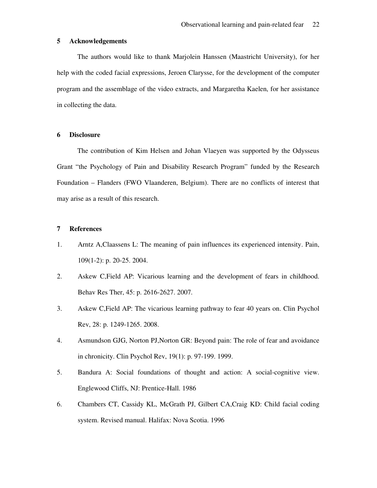## **5 Acknowledgements**

The authors would like to thank Marjolein Hanssen (Maastricht University), for her help with the coded facial expressions, Jeroen Clarysse, for the development of the computer program and the assemblage of the video extracts, and Margaretha Kaelen, for her assistance in collecting the data.

### **6 Disclosure**

The contribution of Kim Helsen and Johan Vlaeyen was supported by the Odysseus Grant "the Psychology of Pain and Disability Research Program" funded by the Research Foundation – Flanders (FWO Vlaanderen, Belgium). There are no conflicts of interest that may arise as a result of this research.

### **7 References**

- 1. Arntz A,Claassens L: The meaning of pain influences its experienced intensity. Pain, 109(1-2): p. 20-25. 2004.
- 2. Askew C,Field AP: Vicarious learning and the development of fears in childhood. Behav Res Ther, 45: p. 2616-2627. 2007.
- 3. Askew C,Field AP: The vicarious learning pathway to fear 40 years on. Clin Psychol Rev, 28: p. 1249-1265. 2008.
- 4. Asmundson GJG, Norton PJ,Norton GR: Beyond pain: The role of fear and avoidance in chronicity. Clin Psychol Rev, 19(1): p. 97-199. 1999.
- 5. Bandura A: Social foundations of thought and action: A social-cognitive view. Englewood Cliffs, NJ: Prentice-Hall. 1986
- 6. Chambers CT, Cassidy KL, McGrath PJ, Gilbert CA,Craig KD: Child facial coding system. Revised manual. Halifax: Nova Scotia. 1996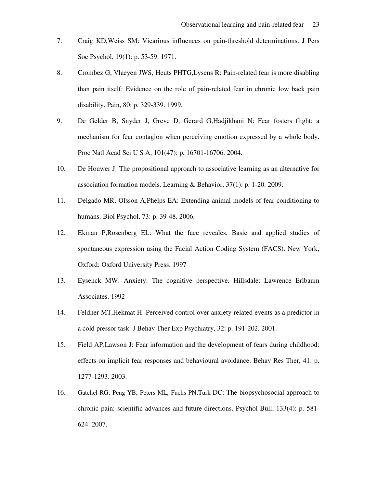- 7. Craig KD,Weiss SM: Vicarious influences on pain-threshold determinations. J Pers Soc Psychol, 19(1): p. 53-59. 1971.
- 8. Crombez G, Vlaeyen JWS, Heuts PHTG,Lysens R: Pain-related fear is more disabling than pain itself: Evidence on the role of pain-related fear in chronic low back pain disability. Pain, 80: p. 329-339. 1999.
- 9. De Gelder B, Snyder J, Greve D, Gerard G,Hadjikhani N: Fear fosters flight: a mechanism for fear contagion when perceiving emotion expressed by a whole body. Proc Natl Acad Sci U S A, 101(47): p. 16701-16706. 2004.
- 10. De Houwer J: The propositional approach to associative learning as an alternative for association formation models. Learning & Behavior, 37(1): p. 1-20. 2009.
- 11. Delgado MR, Olsson A,Phelps EA: Extending animal models of fear conditioning to humans. Biol Psychol, 73: p. 39-48. 2006.
- 12. Ekman P,Rosenberg EL: What the face reveales. Basic and applied studies of spontaneous expression using the Facial Action Coding System (FACS). New York, Oxford: Oxford University Press. 1997
- 13. Eysenck MW: Anxiety: The cognitive perspective. Hillsdale: Lawrence Erlbaum Associates. 1992
- 14. Feldner MT,Hekmat H: Perceived control over anxiety-related events as a predictor in a cold pressor task. J Behav Ther Exp Psychiatry, 32: p. 191-202. 2001.
- 15. Field AP,Lawson J: Fear information and the development of fears during childhood: effects on implicit fear responses and behavioural avoidance. Behav Res Ther, 41: p. 1277-1293. 2003.
- 16. Gatchel RG, Peng YB, Peters ML, Fuchs PN,Turk DC: The biopsychosocial approach to chronic pain: scientific advances and future directions. Psychol Bull, 133(4): p. 581- 624. 2007.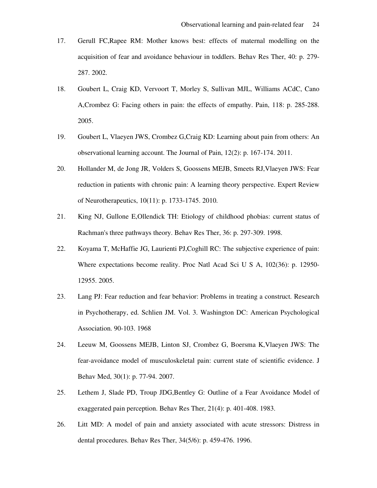- 17. Gerull FC,Rapee RM: Mother knows best: effects of maternal modelling on the acquisition of fear and avoidance behaviour in toddlers. Behav Res Ther, 40: p. 279- 287. 2002.
- 18. Goubert L, Craig KD, Vervoort T, Morley S, Sullivan MJL, Williams ACdC, Cano A,Crombez G: Facing others in pain: the effects of empathy. Pain, 118: p. 285-288. 2005.
- 19. Goubert L, Vlaeyen JWS, Crombez G,Craig KD: Learning about pain from others: An observational learning account. The Journal of Pain, 12(2): p. 167-174. 2011.
- 20. Hollander M, de Jong JR, Volders S, Goossens MEJB, Smeets RJ,Vlaeyen JWS: Fear reduction in patients with chronic pain: A learning theory perspective. Expert Review of Neurotherapeutics, 10(11): p. 1733-1745. 2010.
- 21. King NJ, Gullone E,Ollendick TH: Etiology of childhood phobias: current status of Rachman's three pathways theory. Behav Res Ther, 36: p. 297-309. 1998.
- 22. Koyama T, McHaffie JG, Laurienti PJ,Coghill RC: The subjective experience of pain: Where expectations become reality. Proc Natl Acad Sci U S A, 102(36): p. 12950- 12955. 2005.
- 23. Lang PJ: Fear reduction and fear behavior: Problems in treating a construct. Research in Psychotherapy, ed. Schlien JM. Vol. 3. Washington DC: American Psychological Association. 90-103. 1968
- 24. Leeuw M, Goossens MEJB, Linton SJ, Crombez G, Boersma K,Vlaeyen JWS: The fear-avoidance model of musculoskeletal pain: current state of scientific evidence. J Behav Med, 30(1): p. 77-94. 2007.
- 25. Lethem J, Slade PD, Troup JDG,Bentley G: Outline of a Fear Avoidance Model of exaggerated pain perception. Behav Res Ther, 21(4): p. 401-408. 1983.
- 26. Litt MD: A model of pain and anxiety associated with acute stressors: Distress in dental procedures. Behav Res Ther, 34(5/6): p. 459-476. 1996.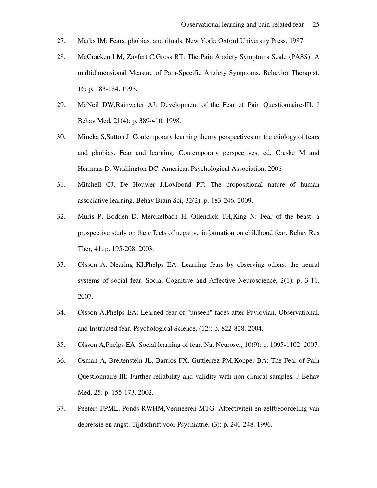- 27. Marks IM: Fears, phobias, and rituals. New York: Oxford University Press. 1987
- 28. McCracken LM, Zayfert C,Gross RT: The Pain Anxiety Symptoms Scale (PASS): A multidimensional Measure of Pain-Specific Anxiety Symptoms. Behavior Therapist, 16: p. 183-184. 1993.
- 29. McNeil DW,Rainwater AJ: Development of the Fear of Pain Questionnaire-III. J Behav Med, 21(4): p. 389-410. 1998.
- 30. Mineka S,Sutton J: Contemporary learning theory perspectives on the etiology of fears and phobias. Fear and learning: Contemporary perspectives, ed. Craske M and Hermans D. Washington DC: American Psychological Association. 2006
- 31. Mitchell CJ, De Houwer J,Lovibond PF: The propositional nature of human associative learning. Behav Brain Sci, 32(2): p. 183-246. 2009.
- 32. Muris P, Bodden D, Merckelbach H, Ollendick TH,King N: Fear of the beast: a prospective study on the effects of negative information on childhood fear. Behav Res Ther, 41: p. 195-208. 2003.
- 33. Olsson A, Nearing KI,Phelps EA: Learning fears by observing others: the neural systems of social fear. Social Cognitive and Affective Neuroscience, 2(1): p. 3-11. 2007.
- 34. Olsson A,Phelps EA: Learned fear of "unseen" faces after Pavlovian, Observational, and Instructed fear. Psychological Science, (12): p. 822-828. 2004.
- 35. Olsson A,Phelps EA: Social learning of fear. Nat Neurosci, 10(9): p. 1095-1102. 2007.
- 36. Osman A, Breitenstein JL, Barrios FX, Guttierrez PM,Kopper BA: The Fear of Pain Questionnaire-III: Further reliability and validity with non-clinical samples. J Behav Med, 25: p. 155-173. 2002.
- 37. Peeters FPML, Ponds RWHM,Vermeeren MTG: Affectiviteit en zelfbeoordeling van depressie en angst. Tijdschrift voor Psychiatrie, (3): p. 240-248. 1996.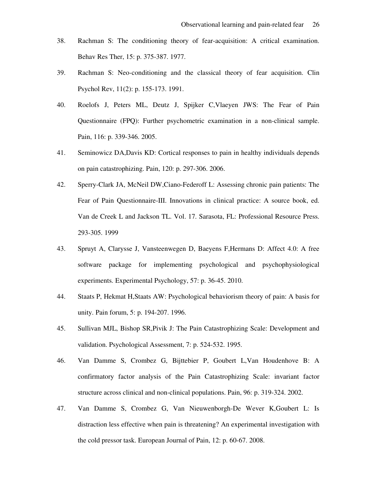- 38. Rachman S: The conditioning theory of fear-acquisition: A critical examination. Behav Res Ther, 15: p. 375-387. 1977.
- 39. Rachman S: Neo-conditioning and the classical theory of fear acquisition. Clin Psychol Rev, 11(2): p. 155-173. 1991.
- 40. Roelofs J, Peters ML, Deutz J, Spijker C,Vlaeyen JWS: The Fear of Pain Questionnaire (FPQ): Further psychometric examination in a non-clinical sample. Pain, 116: p. 339-346. 2005.
- 41. Seminowicz DA,Davis KD: Cortical responses to pain in healthy individuals depends on pain catastrophizing. Pain, 120: p. 297-306. 2006.
- 42. Sperry-Clark JA, McNeil DW,Ciano-Federoff L: Assessing chronic pain patients: The Fear of Pain Questionnaire-III. Innovations in clinical practice: A source book, ed. Van de Creek L and Jackson TL. Vol. 17. Sarasota, FL: Professional Resource Press. 293-305. 1999
- 43. Spruyt A, Clarysse J, Vansteenwegen D, Baeyens F,Hermans D: Affect 4.0: A free software package for implementing psychological and psychophysiological experiments. Experimental Psychology, 57: p. 36-45. 2010.
- 44. Staats P, Hekmat H,Staats AW: Psychological behaviorism theory of pain: A basis for unity. Pain forum, 5: p. 194-207. 1996.
- 45. Sullivan MJL, Bishop SR,Pivik J: The Pain Catastrophizing Scale: Development and validation. Psychological Assessment, 7: p. 524-532. 1995.
- 46. Van Damme S, Crombez G, Bijttebier P, Goubert L,Van Houdenhove B: A confirmatory factor analysis of the Pain Catastrophizing Scale: invariant factor structure across clinical and non-clinical populations. Pain, 96: p. 319-324. 2002.
- 47. Van Damme S, Crombez G, Van Nieuwenborgh-De Wever K,Goubert L: Is distraction less effective when pain is threatening? An experimental investigation with the cold pressor task. European Journal of Pain, 12: p. 60-67. 2008.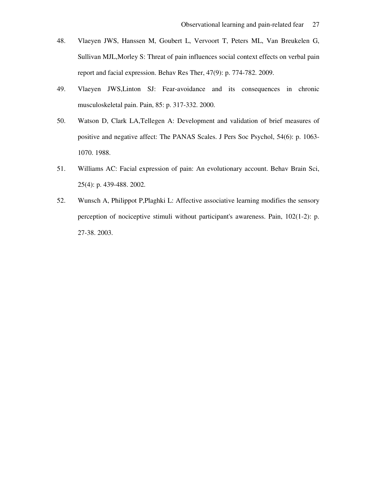- 48. Vlaeyen JWS, Hanssen M, Goubert L, Vervoort T, Peters ML, Van Breukelen G, Sullivan MJL,Morley S: Threat of pain influences social context effects on verbal pain report and facial expression. Behav Res Ther, 47(9): p. 774-782. 2009.
- 49. Vlaeyen JWS,Linton SJ: Fear-avoidance and its consequences in chronic musculoskeletal pain. Pain, 85: p. 317-332. 2000.
- 50. Watson D, Clark LA,Tellegen A: Development and validation of brief measures of positive and negative affect: The PANAS Scales. J Pers Soc Psychol, 54(6): p. 1063- 1070. 1988.
- 51. Williams AC: Facial expression of pain: An evolutionary account. Behav Brain Sci, 25(4): p. 439-488. 2002.
- 52. Wunsch A, Philippot P,Plaghki L: Affective associative learning modifies the sensory perception of nociceptive stimuli without participant's awareness. Pain, 102(1-2): p. 27-38. 2003.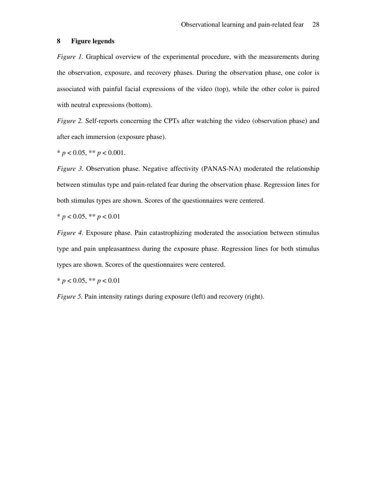# **8 Figure legends**

*Figure 1.* Graphical overview of the experimental procedure, with the measurements during the observation, exposure, and recovery phases. During the observation phase, one color is associated with painful facial expressions of the video (top), while the other color is paired with neutral expressions (bottom).

*Figure 2.* Self-reports concerning the CPTs after watching the video (observation phase) and after each immersion (exposure phase).

 $* p < 0.05, ** p < 0.001.$ 

*Figure 3.* Observation phase. Negative affectivity (PANAS-NA) moderated the relationship between stimulus type and pain-related fear during the observation phase. Regression lines for both stimulus types are shown. Scores of the questionnaires were centered.

 $* p < 0.05, ** p < 0.01$ 

*Figure 4*. Exposure phase. Pain catastrophizing moderated the association between stimulus type and pain unpleasantness during the exposure phase. Regression lines for both stimulus types are shown. Scores of the questionnaires were centered.

\* *p* < 0.05, \*\* *p* < 0.01

*Figure 5.* Pain intensity ratings during exposure (left) and recovery (right).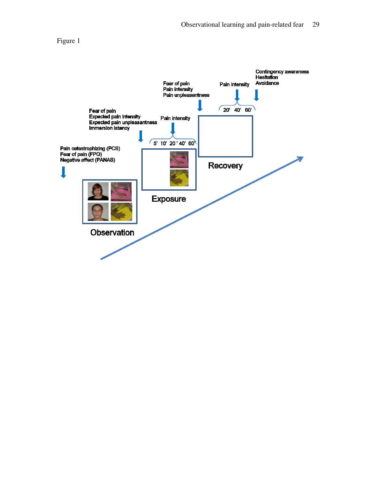

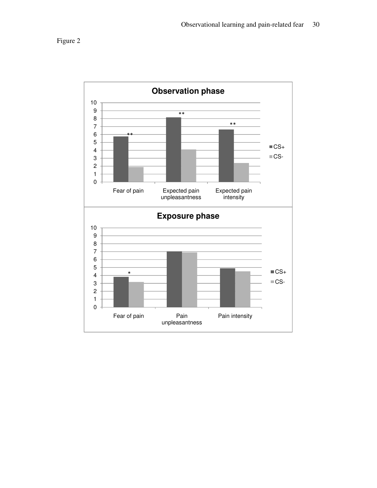

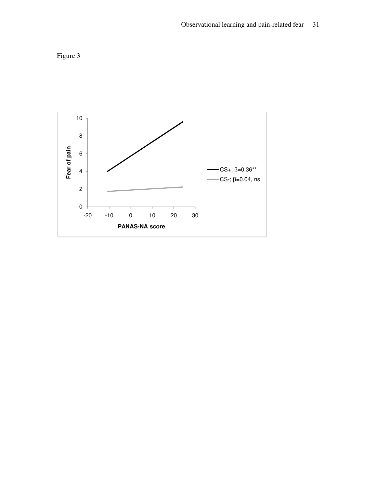

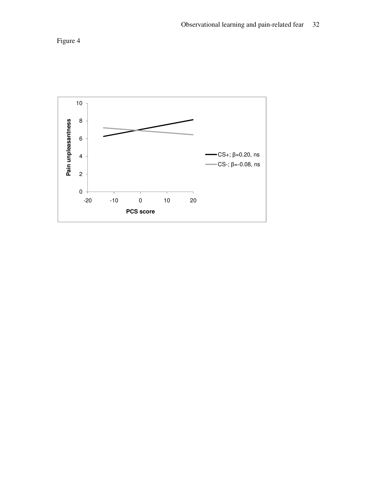

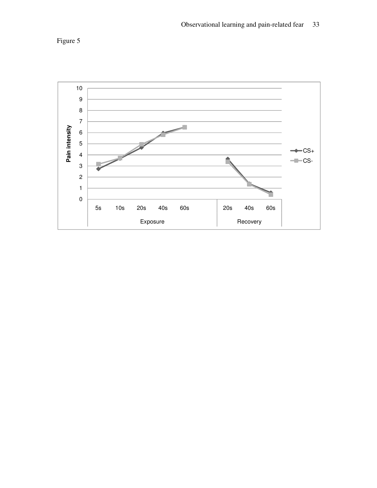

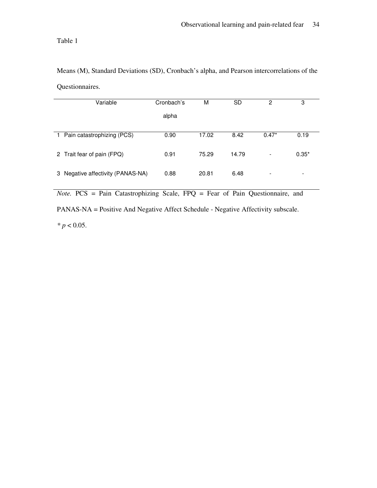Table 1

Means (M), Standard Deviations (SD), Cronbach's alpha, and Pearson intercorrelations of the Questionnaires.

|              | Variable                        | Cronbach's | M     | <b>SD</b> | 2       | 3       |
|--------------|---------------------------------|------------|-------|-----------|---------|---------|
|              |                                 | alpha      |       |           |         |         |
|              |                                 |            |       |           |         |         |
| $\mathbf{1}$ | Pain catastrophizing (PCS)      | 0.90       | 17.02 | 8.42      | $0.47*$ | 0.19    |
|              | 2 Trait fear of pain (FPQ)      | 0.91       | 75.29 | 14.79     |         | $0.35*$ |
| 3            | Negative affectivity (PANAS-NA) | 0.88       | 20.81 | 6.48      |         | -       |

*Note.* PCS = Pain Catastrophizing Scale, FPQ = Fear of Pain Questionnaire, and

PANAS-NA = Positive And Negative Affect Schedule - Negative Affectivity subscale.

*\* p* < 0.05.